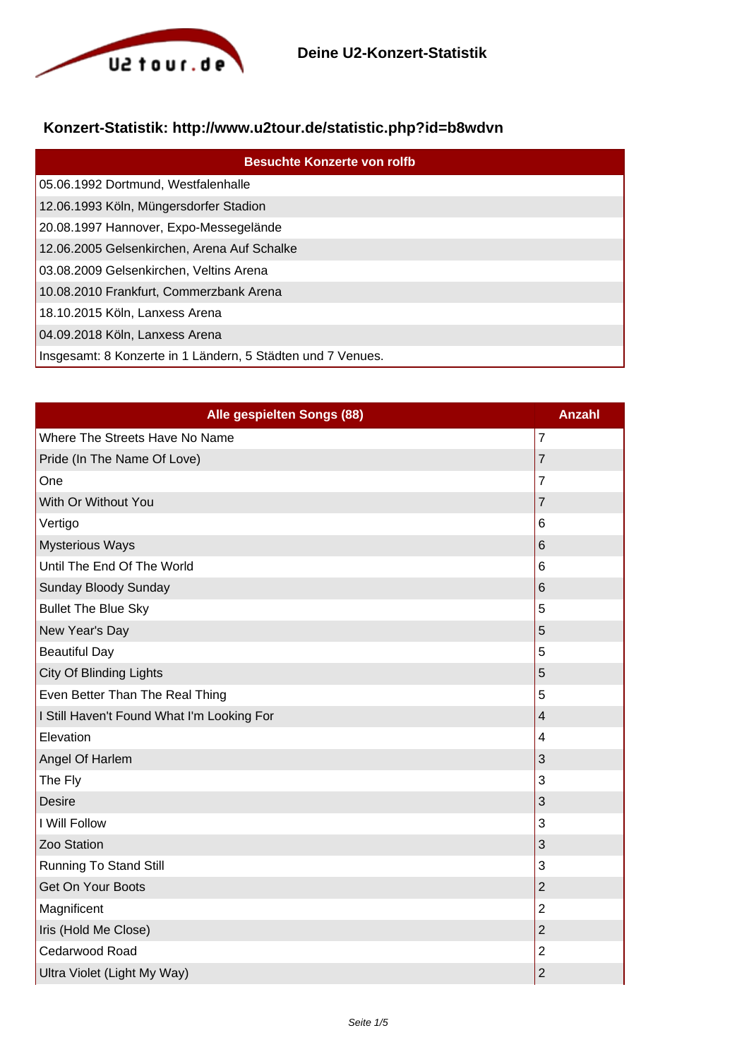

## **Konzert-Statistik: http://www.u2tour.de/statistic.php?id=b8wdvn**

| <b>Besuchte Konzerte von rolfb</b>                          |
|-------------------------------------------------------------|
| 05.06.1992 Dortmund, Westfalenhalle                         |
| 12.06.1993 Köln, Müngersdorfer Stadion                      |
| 20.08.1997 Hannover, Expo-Messegelände                      |
| 12.06.2005 Gelsenkirchen, Arena Auf Schalke                 |
| 03.08.2009 Gelsenkirchen, Veltins Arena                     |
| 10.08.2010 Frankfurt, Commerzbank Arena                     |
| 18.10.2015 Köln, Lanxess Arena                              |
| 04.09.2018 Köln, Lanxess Arena                              |
| Insgesamt: 8 Konzerte in 1 Ländern, 5 Städten und 7 Venues. |

| Alle gespielten Songs (88)                 | <b>Anzahl</b>           |
|--------------------------------------------|-------------------------|
| Where The Streets Have No Name             | $\overline{7}$          |
| Pride (In The Name Of Love)                | $\overline{7}$          |
| One                                        | $\overline{7}$          |
| With Or Without You                        | $\overline{7}$          |
| Vertigo                                    | 6                       |
| <b>Mysterious Ways</b>                     | 6                       |
| Until The End Of The World                 | 6                       |
| Sunday Bloody Sunday                       | 6                       |
| <b>Bullet The Blue Sky</b>                 | 5                       |
| New Year's Day                             | 5                       |
| <b>Beautiful Day</b>                       | 5                       |
| <b>City Of Blinding Lights</b>             | 5                       |
| Even Better Than The Real Thing            | 5                       |
| I Still Haven't Found What I'm Looking For | $\overline{\mathbf{4}}$ |
| Elevation                                  | 4                       |
| Angel Of Harlem                            | 3                       |
| The Fly                                    | 3                       |
| <b>Desire</b>                              | 3                       |
| I Will Follow                              | 3                       |
| Zoo Station                                | 3                       |
| <b>Running To Stand Still</b>              | 3                       |
| Get On Your Boots                          | $\overline{2}$          |
| Magnificent                                | $\overline{2}$          |
| Iris (Hold Me Close)                       | $\overline{2}$          |
| Cedarwood Road                             | $\overline{2}$          |
| Ultra Violet (Light My Way)                | $\overline{c}$          |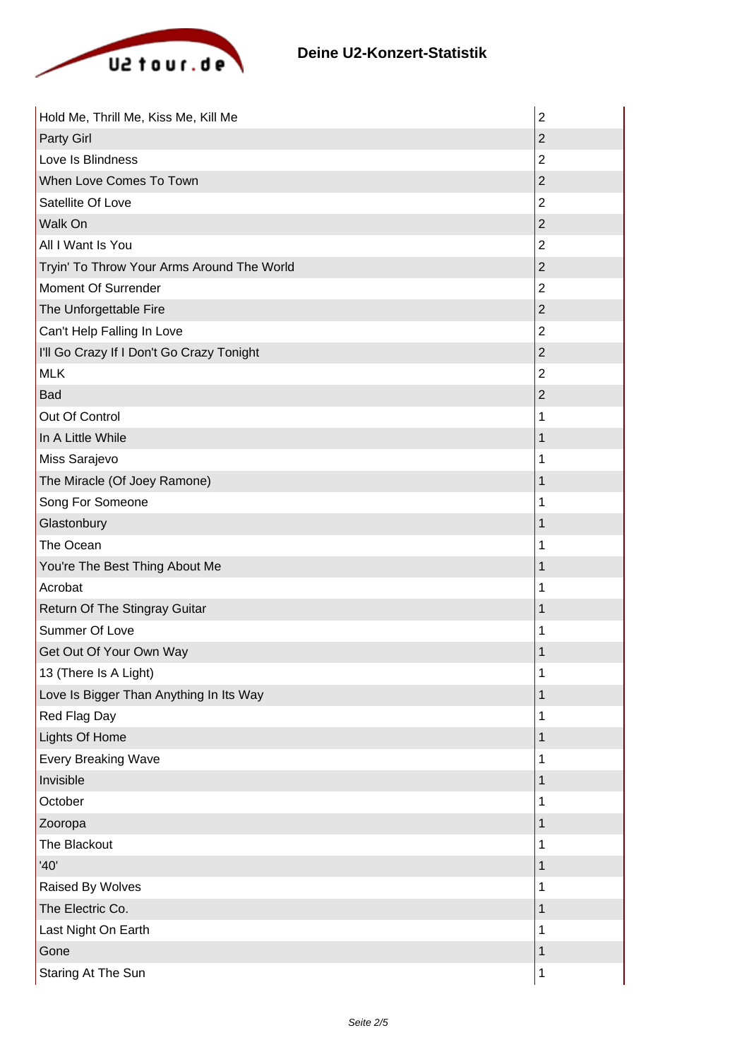

| Hold Me, Thrill Me, Kiss Me, Kill Me       | $\overline{2}$ |
|--------------------------------------------|----------------|
| Party Girl                                 | $\overline{2}$ |
| Love Is Blindness                          | $\overline{2}$ |
| When Love Comes To Town                    | $\overline{2}$ |
| Satellite Of Love                          | $\overline{2}$ |
| Walk On                                    | $\overline{2}$ |
| All I Want Is You                          | $\overline{2}$ |
| Tryin' To Throw Your Arms Around The World | $\overline{2}$ |
| Moment Of Surrender                        | $\overline{2}$ |
| The Unforgettable Fire                     | $\overline{2}$ |
| Can't Help Falling In Love                 | $\overline{2}$ |
| I'll Go Crazy If I Don't Go Crazy Tonight  | $\overline{2}$ |
| <b>MLK</b>                                 | $\overline{2}$ |
| Bad                                        | $\overline{2}$ |
| Out Of Control                             | 1              |
| In A Little While                          | 1              |
| Miss Sarajevo                              | 1              |
| The Miracle (Of Joey Ramone)               | 1              |
| Song For Someone                           | 1              |
| Glastonbury                                | 1              |
| The Ocean                                  | 1              |
| You're The Best Thing About Me             | 1              |
| Acrobat                                    | 1              |
| Return Of The Stingray Guitar              | 1              |
| Summer Of Love                             | 1              |
| Get Out Of Your Own Way                    | 1              |
| 13 (There Is A Light)                      | 1              |
| Love Is Bigger Than Anything In Its Way    | 1              |
| Red Flag Day                               | 1              |
| Lights Of Home                             | 1              |
| <b>Every Breaking Wave</b>                 | 1              |
| Invisible                                  | 1              |
| October                                    | 1              |
| Zooropa                                    | 1              |
| The Blackout                               | 1              |
| '40'                                       | 1              |
| Raised By Wolves                           | 1              |
| The Electric Co.                           | 1              |
| Last Night On Earth                        | 1              |
| Gone                                       | 1              |
| Staring At The Sun                         | $\mathbf 1$    |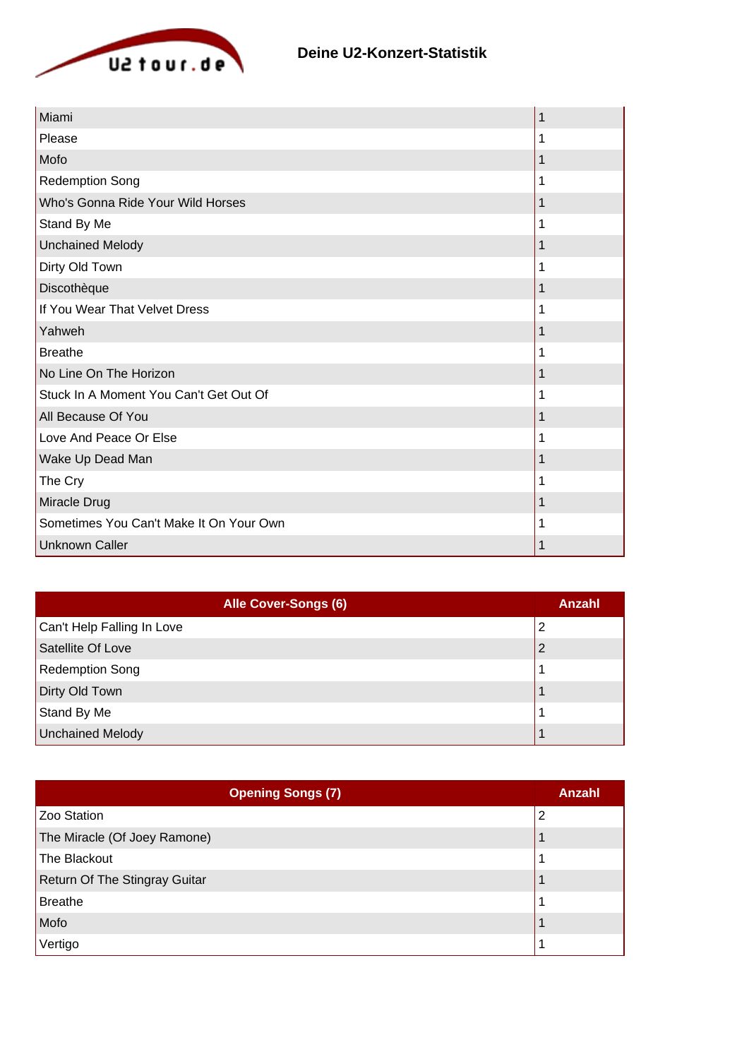

| Miami                                   | 1 |
|-----------------------------------------|---|
| Please                                  | 1 |
| Mofo                                    | 1 |
| <b>Redemption Song</b>                  | 1 |
| Who's Gonna Ride Your Wild Horses       | 1 |
| Stand By Me                             | 1 |
| <b>Unchained Melody</b>                 |   |
| Dirty Old Town                          | 1 |
| Discothèque                             | 1 |
| If You Wear That Velvet Dress           | 1 |
| Yahweh                                  |   |
| <b>Breathe</b>                          |   |
| No Line On The Horizon                  |   |
| Stuck In A Moment You Can't Get Out Of  | 1 |
| All Because Of You                      | 1 |
| Love And Peace Or Else                  |   |
| Wake Up Dead Man                        |   |
| The Cry                                 |   |
| Miracle Drug                            | 1 |
| Sometimes You Can't Make It On Your Own |   |
| <b>Unknown Caller</b>                   | 1 |

| Alle Cover-Songs (6)       | Anzahl |
|----------------------------|--------|
| Can't Help Falling In Love | 2      |
| Satellite Of Love          |        |
| Redemption Song            |        |
| Dirty Old Town             |        |
| Stand By Me                |        |
| Unchained Melody           |        |

| <b>Opening Songs (7)</b>      | Anzahl |
|-------------------------------|--------|
| Zoo Station                   | 2      |
| The Miracle (Of Joey Ramone)  |        |
| The Blackout                  |        |
| Return Of The Stingray Guitar |        |
| Breathe                       |        |
| Mofo                          |        |
| Vertigo                       |        |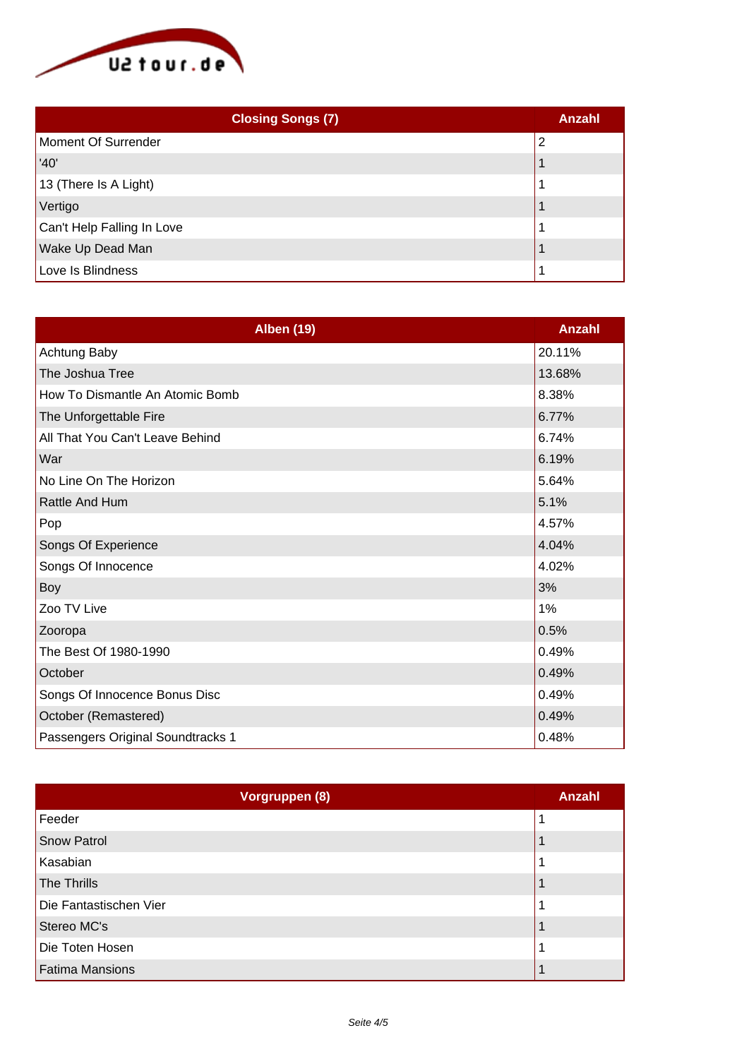

| <b>Closing Songs (7)</b>   | Anzahl |
|----------------------------|--------|
| Moment Of Surrender        | 2      |
| '40'                       |        |
| 13 (There Is A Light)      |        |
| Vertigo                    |        |
| Can't Help Falling In Love |        |
| Wake Up Dead Man           |        |
| Love Is Blindness          |        |

| <b>Alben (19)</b>                 | Anzahl |
|-----------------------------------|--------|
| Achtung Baby                      | 20.11% |
| The Joshua Tree                   | 13.68% |
| How To Dismantle An Atomic Bomb   | 8.38%  |
| The Unforgettable Fire            | 6.77%  |
| All That You Can't Leave Behind   | 6.74%  |
| War                               | 6.19%  |
| No Line On The Horizon            | 5.64%  |
| <b>Rattle And Hum</b>             | 5.1%   |
| Pop                               | 4.57%  |
| Songs Of Experience               | 4.04%  |
| Songs Of Innocence                | 4.02%  |
| Boy                               | 3%     |
| Zoo TV Live                       | 1%     |
| Zooropa                           | 0.5%   |
| The Best Of 1980-1990             | 0.49%  |
| October                           | 0.49%  |
| Songs Of Innocence Bonus Disc     | 0.49%  |
| October (Remastered)              | 0.49%  |
| Passengers Original Soundtracks 1 | 0.48%  |

| Vorgruppen (8)         | <b>Anzahl</b> |
|------------------------|---------------|
| Feeder                 |               |
| Snow Patrol            |               |
| Kasabian               |               |
| The Thrills            |               |
| Die Fantastischen Vier |               |
| Stereo MC's            |               |
| Die Toten Hosen        |               |
| <b>Fatima Mansions</b> |               |